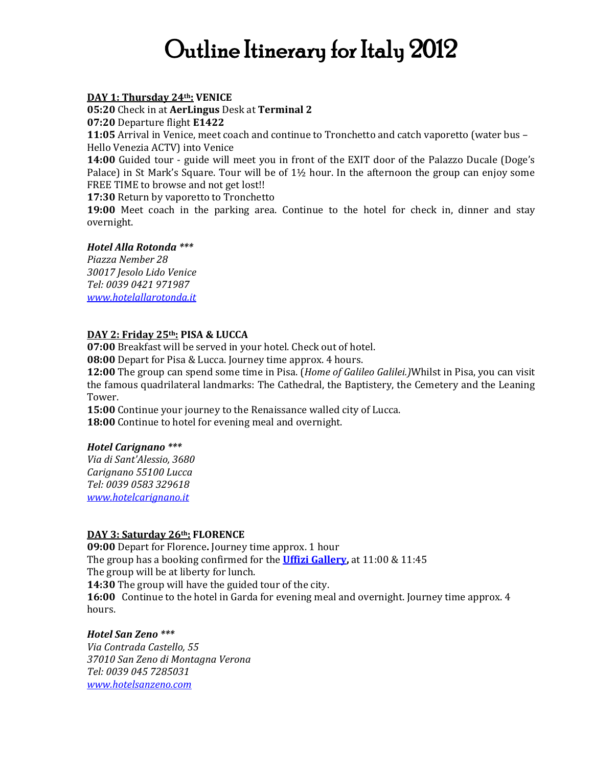# Outline Itinerary for Italy 2012

#### **DAY 1: Thursday 24th: VENICE**

**05:20** Check in at **AerLingus** Desk at **Terminal 2**

**07:20** Departure flight **E1422**

**11:05** Arrival in Venice, meet coach and continue to Tronchetto and catch vaporetto (water bus – Hello Venezia ACTV) into Venice

**14:00** Guided tour - guide will meet you in front of the EXIT door of the Palazzo Ducale (Doge's Palace) in St Mark's Square. Tour will be of 1½ hour. In the afternoon the group can enjoy some FREE TIME to browse and not get lost!!

**17:30** Return by vaporetto to Tronchetto

**19:00** Meet coach in the parking area. Continue to the hotel for check in, dinner and stay overnight.

#### *Hotel Alla Rotonda \*\*\**

*Piazza Nember 28 30017 Jesolo Lido Venice Tel: 0039 0421 971987 [www.hotelallarotonda.it](http://www.hotelallarotonda.it/)*

## **DAY 2: Friday 25th: PISA & LUCCA**

**07:00** Breakfast will be served in your hotel. Check out of hotel.

**08:00** Depart for Pisa & Lucca. Journey time approx. 4 hours.

**12:00** The group can spend some time in Pisa. (*Home of Galileo Galilei.)*Whilst in Pisa, you can visit the famous quadrilateral landmarks: The Cathedral, the Baptistery, the Cemetery and the Leaning Tower.

**15:00** Continue your journey to the Renaissance walled city of Lucca. **18:00** Continue to hotel for evening meal and overnight.

## *Hotel Carignano \*\*\**

*Via di Sant'Alessio, 3680 Carignano 55100 Lucca Tel: 0039 0583 329618 [www.hotelcarignano.it](http://www.hotelcarignano.it/)*

## **DAY 3: Saturday 26th: FLORENCE**

**09:00** Depart for Florence**.** Journey time approx. 1 hour The group has a booking confirmed for the **[Uffizi Gallery,](http://www.youtube.com/watch?v=1dtwcdtztRw)** at 11:00 & 11:45 The group will be at liberty for lunch.

**14:30** The group will have the guided tour of the city.

**16:00** Continue to the hotel in Garda for evening meal and overnight. Journey time approx. 4 hours.

## *Hotel San Zeno \*\*\**

*Via Contrada Castello, 55 37010 San Zeno di Montagna Verona Tel: 0039 045 7285031 [www.hotelsanzeno.com](http://www.hotelsanzeno.com/)*